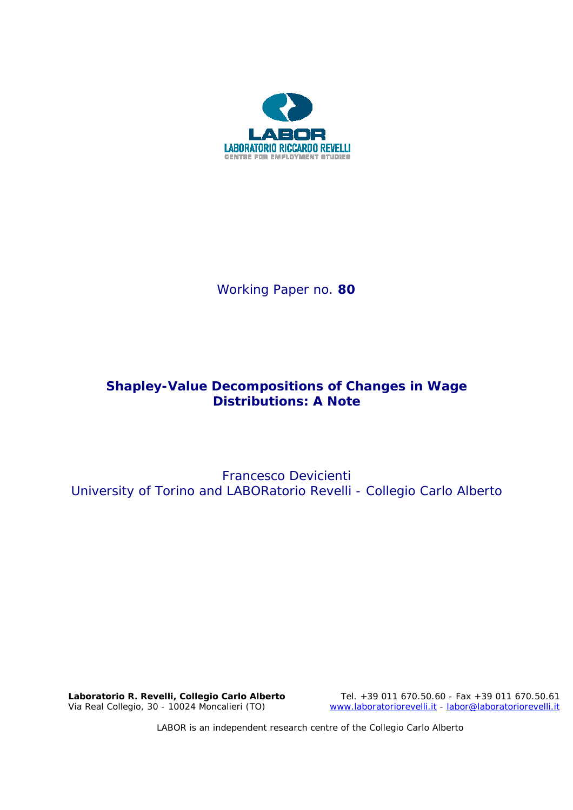

Working Paper no. **80** 

# **Shapley-Value Decompositions of Changes in Wage Distributions: A Note**

Francesco Devicienti University of Torino and LABORatorio Revelli - Collegio Carlo Alberto

**Laboratorio R. Revelli,** *Collegio Carlo Alberto* Tel. +39 011 670.50.60 - Fax +39 011 670.50.61 Via Real Collegio, 30 - 10024 Moncalieri (TO) www.laboratoriorevelli.it - labor@laboratoriorevelli.it

LABOR is an independent research centre of the Collegio Carlo Alberto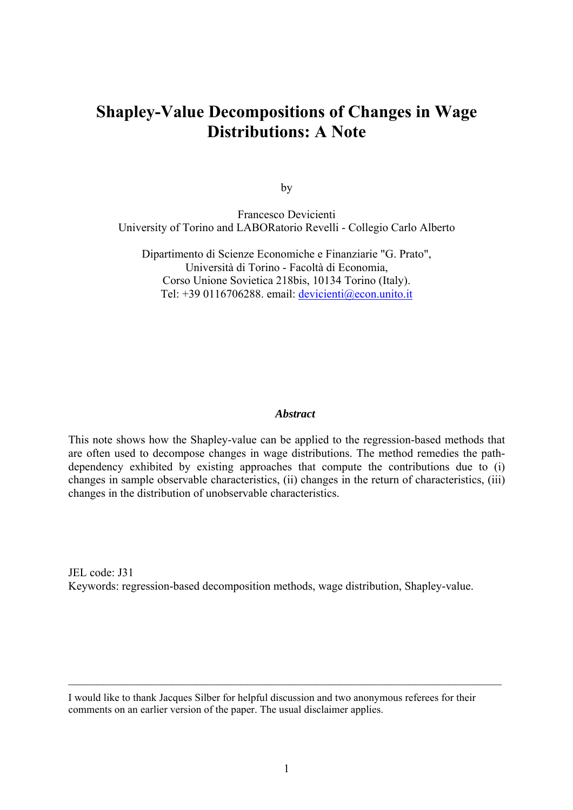# **Shapley-Value Decompositions of Changes in Wage Distributions: A Note**

by

Francesco Devicienti University of Torino and LABORatorio Revelli - Collegio Carlo Alberto

Dipartimento di Scienze Economiche e Finanziarie "G. Prato", Università di Torino - Facoltà di Economia, Corso Unione Sovietica 218bis, 10134 Torino (Italy). Tel: +39 0116706288. email: devicienti@econ.unito.it

#### *Abstract*

This note shows how the Shapley-value can be applied to the regression-based methods that are often used to decompose changes in wage distributions. The method remedies the pathdependency exhibited by existing approaches that compute the contributions due to (i) changes in sample observable characteristics, (ii) changes in the return of characteristics, (iii) changes in the distribution of unobservable characteristics.

JEL code: J31 Keywords: regression-based decomposition methods, wage distribution, Shapley-value.

I would like to thank Jacques Silber for helpful discussion and two anonymous referees for their comments on an earlier version of the paper. The usual disclaimer applies.

 $\mathcal{L}_\mathcal{L} = \{ \mathcal{L}_\mathcal{L} = \{ \mathcal{L}_\mathcal{L} = \{ \mathcal{L}_\mathcal{L} = \{ \mathcal{L}_\mathcal{L} = \{ \mathcal{L}_\mathcal{L} = \{ \mathcal{L}_\mathcal{L} = \{ \mathcal{L}_\mathcal{L} = \{ \mathcal{L}_\mathcal{L} = \{ \mathcal{L}_\mathcal{L} = \{ \mathcal{L}_\mathcal{L} = \{ \mathcal{L}_\mathcal{L} = \{ \mathcal{L}_\mathcal{L} = \{ \mathcal{L}_\mathcal{L} = \{ \mathcal{L}_\mathcal{$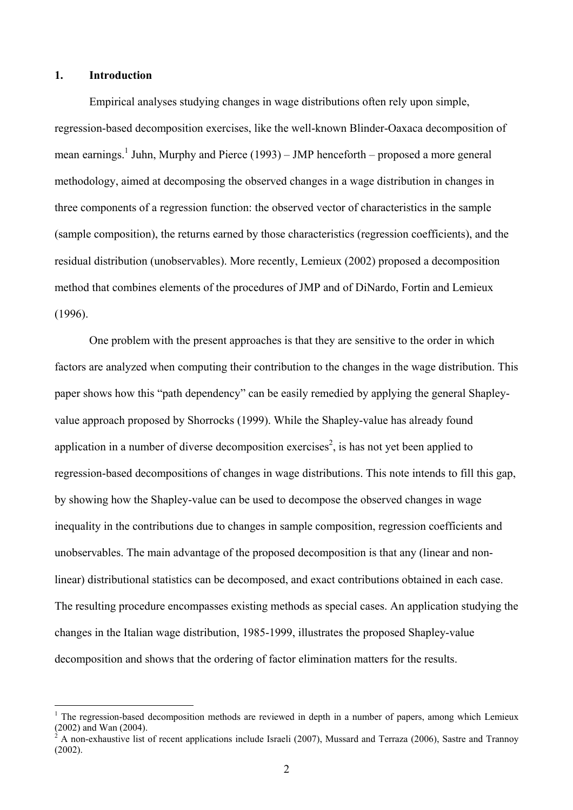## **1. Introduction**

 $\overline{a}$ 

Empirical analyses studying changes in wage distributions often rely upon simple, regression-based decomposition exercises, like the well-known Blinder-Oaxaca decomposition of mean earnings.<sup>1</sup> Juhn, Murphy and Pierce (1993) – JMP henceforth – proposed a more general methodology, aimed at decomposing the observed changes in a wage distribution in changes in three components of a regression function: the observed vector of characteristics in the sample (sample composition), the returns earned by those characteristics (regression coefficients), and the residual distribution (unobservables). More recently, Lemieux (2002) proposed a decomposition method that combines elements of the procedures of JMP and of DiNardo, Fortin and Lemieux (1996).

One problem with the present approaches is that they are sensitive to the order in which factors are analyzed when computing their contribution to the changes in the wage distribution. This paper shows how this "path dependency" can be easily remedied by applying the general Shapleyvalue approach proposed by Shorrocks (1999). While the Shapley-value has already found application in a number of diverse decomposition exercises<sup>2</sup>, is has not yet been applied to regression-based decompositions of changes in wage distributions. This note intends to fill this gap, by showing how the Shapley-value can be used to decompose the observed changes in wage inequality in the contributions due to changes in sample composition, regression coefficients and unobservables. The main advantage of the proposed decomposition is that any (linear and nonlinear) distributional statistics can be decomposed, and exact contributions obtained in each case. The resulting procedure encompasses existing methods as special cases. An application studying the changes in the Italian wage distribution, 1985-1999, illustrates the proposed Shapley-value decomposition and shows that the ordering of factor elimination matters for the results.

<sup>&</sup>lt;sup>1</sup> The regression-based decomposition methods are reviewed in depth in a number of papers, among which Lemieux (2002) and Wan (2004).

 $\dot{2}$  A non-exhaustive list of recent applications include Israeli (2007), Mussard and Terraza (2006), Sastre and Trannoy (2002).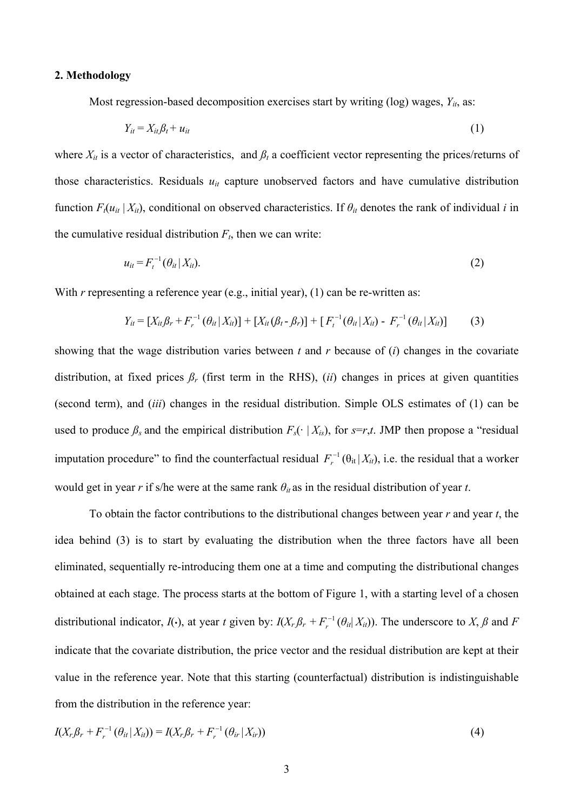#### **2. Methodology**

Most regression-based decomposition exercises start by writing (log) wages,  $Y_{it}$ , as:

$$
Y_{it} = X_{it} \beta_t + u_{it} \tag{1}
$$

where  $X_{it}$  is a vector of characteristics, and  $\beta_t$  a coefficient vector representing the prices/returns of those characteristics. Residuals  $u_{it}$  capture unobserved factors and have cumulative distribution function  $F_t(u_{it} | X_i)$ , conditional on observed characteristics. If  $\theta_i$  denotes the rank of individual *i* in the cumulative residual distribution  $F_t$ , then we can write:

$$
u_{it} = F_t^{-1}(\theta_{it} | X_{it}).
$$
 (2)

With *r* representing a reference year (e.g., initial year), (1) can be re-written as:

$$
Y_{it} = [X_{it}\beta_r + F_r^{-1}(\theta_{it}|X_{it})] + [X_{it}(\beta_t - \beta_r)] + [F_t^{-1}(\theta_{it}|X_{it}) - F_r^{-1}(\theta_{it}|X_{it})]
$$
(3)

showing that the wage distribution varies between *t* and *r* because of (*i*) changes in the covariate distribution, at fixed prices  $\beta_r$  (first term in the RHS), *(ii)* changes in prices at given quantities (second term), and (*iii*) changes in the residual distribution. Simple OLS estimates of (1) can be used to produce  $\beta_s$  and the empirical distribution  $F_s(\cdot | X_{is})$ , for  $s=r,t$ . JMP then propose a "residual imputation procedure" to find the counterfactual residual  $F_r^{-1}(\theta_{it} | X_{it})$ , i.e. the residual that a worker would get in year  $r$  if s/he were at the same rank  $\theta_{it}$  as in the residual distribution of year  $t$ .

To obtain the factor contributions to the distributional changes between year *r* and year *t*, the idea behind (3) is to start by evaluating the distribution when the three factors have all been eliminated, sequentially re-introducing them one at a time and computing the distributional changes obtained at each stage. The process starts at the bottom of Figure 1, with a starting level of a chosen distributional indicator,  $I(\cdot)$ , at year *t* given by:  $I(X_r \beta_r + F_r^{-1}(\theta_{it}|X_{it}))$ . The underscore to *X*,  $\beta$  and  $F$ indicate that the covariate distribution, the price vector and the residual distribution are kept at their value in the reference year. Note that this starting (counterfactual) distribution is indistinguishable from the distribution in the reference year:

$$
I(X_r\beta_r + F_r^{-1}(\theta_{it}|X_{it})) = I(X_r\beta_r + F_r^{-1}(\theta_{ir}|X_{it}))
$$
\n(4)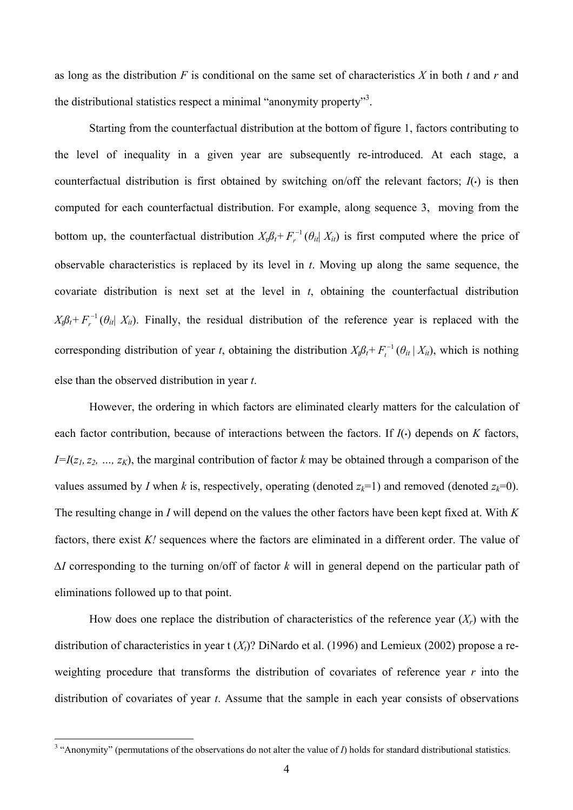as long as the distribution *F* is conditional on the same set of characteristics *X* in both *t* and *r* and the distributional statistics respect a minimal "anonymity property"<sup>3</sup>.

Starting from the counterfactual distribution at the bottom of figure 1, factors contributing to the level of inequality in a given year are subsequently re-introduced. At each stage, a counterfactual distribution is first obtained by switching on/off the relevant factors; *I*(•) is then computed for each counterfactual distribution. For example, along sequence 3, moving from the bottom up, the counterfactual distribution  $X_t \beta_t + F_t^{-1}(\theta_{it}|X_{it})$  is first computed where the price of observable characteristics is replaced by its level in *t*. Moving up along the same sequence, the covariate distribution is next set at the level in *t*, obtaining the counterfactual distribution  $X_i \beta_i + F_i^{-1} (\theta_i | X_i)$ . Finally, the residual distribution of the reference year is replaced with the corresponding distribution of year *t*, obtaining the distribution  $X_{\nu} \beta_t + F_t^{-1} (\theta_{it} | X_{it})$ , which is nothing else than the observed distribution in year *t*.

However, the ordering in which factors are eliminated clearly matters for the calculation of each factor contribution, because of interactions between the factors. If *I*(•) depends on *K* factors,  $I=I(z_1, z_2, ..., z_k)$ , the marginal contribution of factor *k* may be obtained through a comparison of the values assumed by *I* when *k* is, respectively, operating (denoted  $z_k=1$ ) and removed (denoted  $z_k=0$ ). The resulting change in *I* will depend on the values the other factors have been kept fixed at. With *K* factors, there exist *K!* sequences where the factors are eliminated in a different order. The value of *∆I* corresponding to the turning on/off of factor *k* will in general depend on the particular path of eliminations followed up to that point.

How does one replace the distribution of characteristics of the reference year  $(X<sub>r</sub>)$  with the distribution of characteristics in year t  $(X<sub>t</sub>)$ ? DiNardo et al. (1996) and Lemieux (2002) propose a reweighting procedure that transforms the distribution of covariates of reference year *r* into the distribution of covariates of year *t*. Assume that the sample in each year consists of observations

 $\overline{a}$ 

<sup>&</sup>lt;sup>3</sup> "Anonymity" (permutations of the observations do not alter the value of  $I$ ) holds for standard distributional statistics.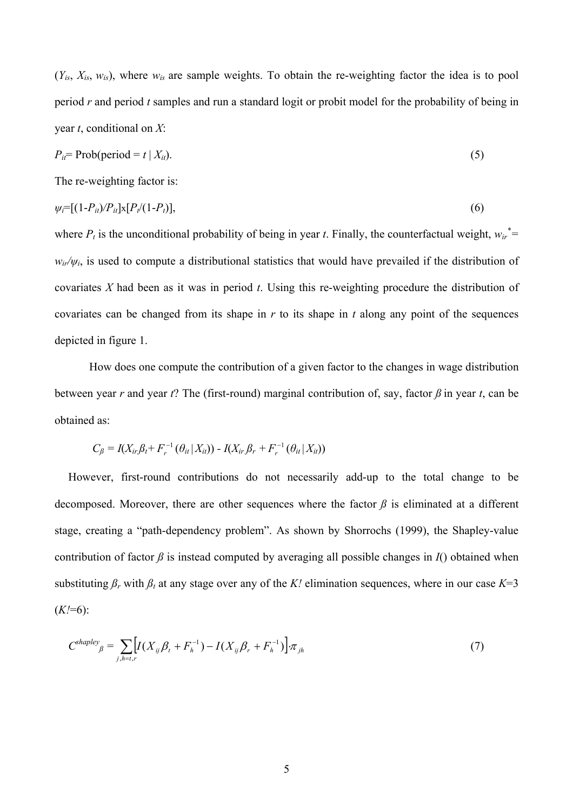$(Y_{is}, X_{is}, w_{is})$ , where  $w_{is}$  are sample weights. To obtain the re-weighting factor the idea is to pool period *r* and period *t* samples and run a standard logit or probit model for the probability of being in year *t*, conditional on *X*:

$$
P_{it} = \text{Prob}(\text{period} = t \mid X_{it}).\tag{5}
$$

The re-weighting factor is:

$$
\psi_i = [(1 - P_{ii})/P_{ii}] \times [P_i/(1 - P_i)], \qquad (6)
$$

where  $P_t$  is the unconditional probability of being in year *t*. Finally, the counterfactual weight,  $w_{ir}^*$  $w_{ir}/\psi_i$ , is used to compute a distributional statistics that would have prevailed if the distribution of covariates *X* had been as it was in period *t*. Using this re-weighting procedure the distribution of covariates can be changed from its shape in *r* to its shape in *t* along any point of the sequences depicted in figure 1.

How does one compute the contribution of a given factor to the changes in wage distribution between year *r* and year *t*? The (first-round) marginal contribution of, say, factor *ß* in year *t*, can be obtained as:

$$
C_{\beta} = I(X_{ir} \beta_t + F_r^{-1} (\theta_{it} | X_{it})) - I(X_{ir} \beta_r + F_r^{-1} (\theta_{it} | X_{it}))
$$

However, first-round contributions do not necessarily add-up to the total change to be decomposed. Moreover, there are other sequences where the factor *ß* is eliminated at a different stage, creating a "path-dependency problem". As shown by Shorrochs (1999), the Shapley-value contribution of factor  $\beta$  is instead computed by averaging all possible changes in  $I$ () obtained when substituting  $\beta_r$  with  $\beta_t$  at any stage over any of the *K!* elimination sequences, where in our case *K*=3  $(K!=6)$ :

$$
C^{shape}{}_{\beta} = \sum_{j,h=t,r} \left[ I(X_{ij} \beta_t + F_h^{-1}) - I(X_{ij} \beta_r + F_h^{-1}) \right] \pi_{jh}
$$
 (7)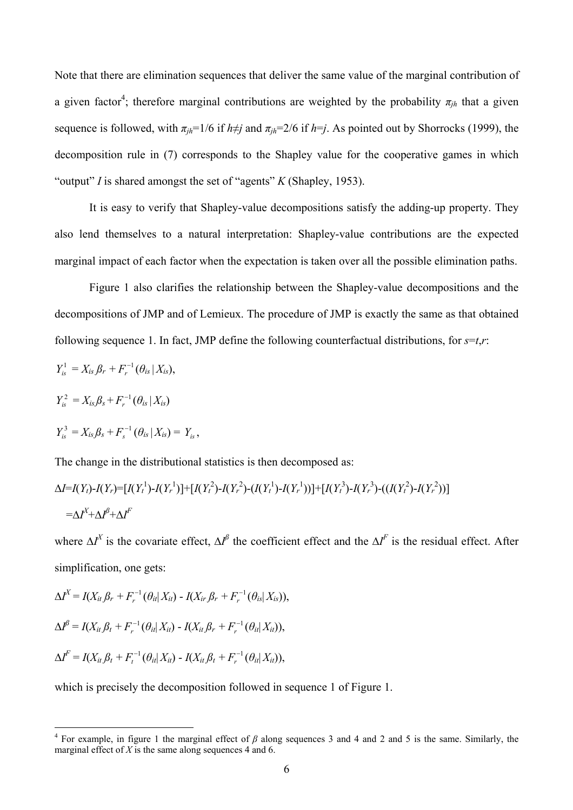Note that there are elimination sequences that deliver the same value of the marginal contribution of a given factor<sup>4</sup>; therefore marginal contributions are weighted by the probability  $\pi_{jh}$  that a given sequence is followed, with  $\pi_{ih}$ =1/6 if  $h \neq j$  and  $\pi_{ih}$ =2/6 if  $h = j$ . As pointed out by Shorrocks (1999), the decomposition rule in (7) corresponds to the Shapley value for the cooperative games in which "output" *I* is shared amongst the set of "agents" *K* (Shapley, 1953).

It is easy to verify that Shapley-value decompositions satisfy the adding-up property. They also lend themselves to a natural interpretation: Shapley-value contributions are the expected marginal impact of each factor when the expectation is taken over all the possible elimination paths.

Figure 1 also clarifies the relationship between the Shapley-value decompositions and the decompositions of JMP and of Lemieux. The procedure of JMP is exactly the same as that obtained following sequence 1. In fact, JMP define the following counterfactual distributions, for  $s=t,r$ :

$$
Y_{is}^{1} = X_{is} \beta_{r} + F_{r}^{-1}(\theta_{is} | X_{is}),
$$
  
\n
$$
Y_{is}^{2} = X_{is} \beta_{s} + F_{r}^{-1}(\theta_{is} | X_{is})
$$
  
\n
$$
Y_{is}^{3} = X_{is} \beta_{s} + F_{s}^{-1}(\theta_{is} | X_{is}) = Y_{is},
$$

The change in the distributional statistics is then decomposed as:

$$
\Delta I = I(Y_t) - I(Y_r) = [I(Y_t^1) - I(Y_r^1)] + [I(Y_t^2) - I(Y_r^2) - (I(Y_t^1) - I(Y_r^1))] + [I(Y_t^3) - I(Y_r^3) - ((I(Y_t^2) - I(Y_r^2))]
$$
  
=  $\Delta I^X + \Delta I^B + \Delta I^F$ 

where  $\Delta I^X$  is the covariate effect,  $\Delta I^{\beta}$  the coefficient effect and the  $\Delta I^F$  is the residual effect. After simplification, one gets:

$$
\Delta I^{X} = I(X_{it} \beta_{r} + F_{r}^{-1}(\theta_{it} | X_{it}) - I(X_{ir} \beta_{r} + F_{r}^{-1}(\theta_{is} | X_{is})),
$$
  
\n
$$
\Delta I^{\beta} = I(X_{it} \beta_{t} + F_{r}^{-1}(\theta_{it} | X_{it}) - I(X_{it} \beta_{r} + F_{r}^{-1}(\theta_{it} | X_{it})),
$$
  
\n
$$
\Delta I^{F} = I(X_{it} \beta_{t} + F_{t}^{-1}(\theta_{it} | X_{it}) - I(X_{it} \beta_{t} + F_{r}^{-1}(\theta_{it} | X_{it})),
$$

 $\overline{a}$ 

which is precisely the decomposition followed in sequence 1 of Figure 1.

<sup>&</sup>lt;sup>4</sup> For example, in figure 1 the marginal effect of  $\beta$  along sequences 3 and 4 and 2 and 5 is the same. Similarly, the marginal effect of  $X$  is the same along sequences 4 and 6.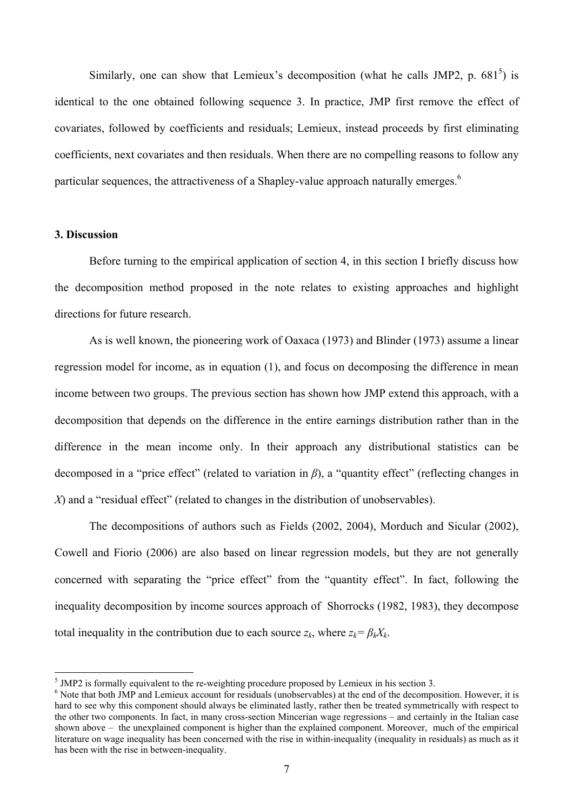Similarly, one can show that Lemieux's decomposition (what he calls JMP2, p.  $681<sup>5</sup>$ ) is identical to the one obtained following sequence 3. In practice, JMP first remove the effect of covariates, followed by coefficients and residuals; Lemieux, instead proceeds by first eliminating coefficients, next covariates and then residuals. When there are no compelling reasons to follow any particular sequences, the attractiveness of a Shapley-value approach naturally emerges.<sup>6</sup>

### **3. Discussion**

 $\overline{a}$ 

Before turning to the empirical application of section 4, in this section I briefly discuss how the decomposition method proposed in the note relates to existing approaches and highlight directions for future research.

As is well known, the pioneering work of Oaxaca (1973) and Blinder (1973) assume a linear regression model for income, as in equation (1), and focus on decomposing the difference in mean income between two groups. The previous section has shown how JMP extend this approach, with a decomposition that depends on the difference in the entire earnings distribution rather than in the difference in the mean income only. In their approach any distributional statistics can be decomposed in a "price effect" (related to variation in *β*), a "quantity effect" (reflecting changes in *X*) and a "residual effect" (related to changes in the distribution of unobservables).

The decompositions of authors such as Fields (2002, 2004), Morduch and Sicular (2002), Cowell and Fiorio (2006) are also based on linear regression models, but they are not generally concerned with separating the "price effect" from the "quantity effect". In fact, following the inequality decomposition by income sources approach of Shorrocks (1982, 1983), they decompose total inequality in the contribution due to each source  $z_k$ , where  $z_k = \beta_k X_k$ .

 $<sup>5</sup>$  JMP2 is formally equivalent to the re-weighting procedure proposed by Lemieux in his section 3.</sup>

<sup>&</sup>lt;sup>6</sup> Note that both JMP and Lemieux account for residuals (unobservables) at the end of the decomposition. However, it is hard to see why this component should always be eliminated lastly, rather then be treated symmetrically with respect to the other two components. In fact, in many cross-section Mincerian wage regressions – and certainly in the Italian case shown above – the unexplained component is higher than the explained component. Moreover, much of the empirical literature on wage inequality has been concerned with the rise in within-inequality (inequality in residuals) as much as it has been with the rise in between-inequality.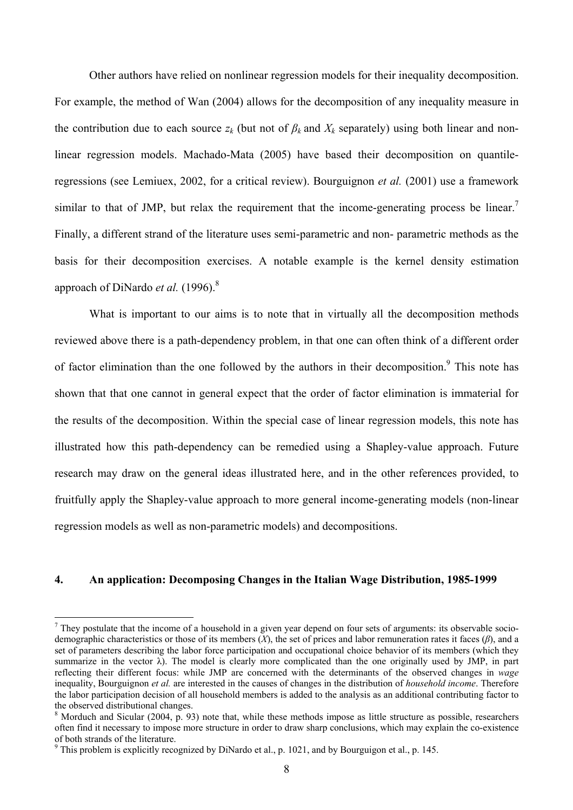Other authors have relied on nonlinear regression models for their inequality decomposition. For example, the method of Wan (2004) allows for the decomposition of any inequality measure in the contribution due to each source  $z_k$  (but not of  $\beta_k$  and  $X_k$  separately) using both linear and nonlinear regression models. Machado-Mata (2005) have based their decomposition on quantileregressions (see Lemiuex, 2002, for a critical review). Bourguignon *et al.* (2001) use a framework similar to that of JMP, but relax the requirement that the income-generating process be linear.<sup>7</sup> Finally, a different strand of the literature uses semi-parametric and non- parametric methods as the basis for their decomposition exercises. A notable example is the kernel density estimation approach of DiNardo *et al.* (1996).<sup>8</sup>

What is important to our aims is to note that in virtually all the decomposition methods reviewed above there is a path-dependency problem, in that one can often think of a different order of factor elimination than the one followed by the authors in their decomposition.<sup>9</sup> This note has shown that that one cannot in general expect that the order of factor elimination is immaterial for the results of the decomposition. Within the special case of linear regression models, this note has illustrated how this path-dependency can be remedied using a Shapley-value approach. Future research may draw on the general ideas illustrated here, and in the other references provided, to fruitfully apply the Shapley-value approach to more general income-generating models (non-linear regression models as well as non-parametric models) and decompositions.

#### **4. An application: Decomposing Changes in the Italian Wage Distribution, 1985-1999**

 $\overline{a}$ 

 $<sup>7</sup>$  They postulate that the income of a household in a given year depend on four sets of arguments: its observable socio-</sup> demographic characteristics or those of its members (*X*), the set of prices and labor remuneration rates it faces (*β*), and a set of parameters describing the labor force participation and occupational choice behavior of its members (which they summarize in the vector  $\lambda$ ). The model is clearly more complicated than the one originally used by JMP, in part reflecting their different focus: while JMP are concerned with the determinants of the observed changes in *wage* inequality, Bourguignon *et al.* are interested in the causes of changes in the distribution of *household income*. Therefore the labor participation decision of all household members is added to the analysis as an additional contributing factor to the observed distributional changes.

 $8$  Morduch and Sicular (2004, p. 93) note that, while these methods impose as little structure as possible, researchers often find it necessary to impose more structure in order to draw sharp conclusions, which may explain the co-existence of both strands of the literature.

<sup>&</sup>lt;sup>9</sup> This problem is explicitly recognized by DiNardo et al., p. 1021, and by Bourguigon et al., p. 145.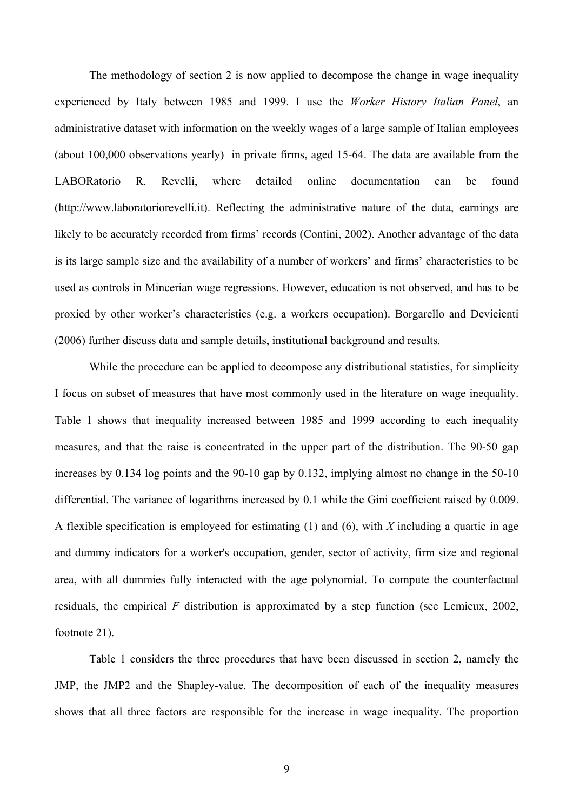The methodology of section 2 is now applied to decompose the change in wage inequality experienced by Italy between 1985 and 1999. I use the *Worker History Italian Panel*, an administrative dataset with information on the weekly wages of a large sample of Italian employees (about 100,000 observations yearly) in private firms, aged 15-64. The data are available from the LABORatorio R. Revelli, where detailed online documentation can be found (http://www.laboratoriorevelli.it). Reflecting the administrative nature of the data, earnings are likely to be accurately recorded from firms' records (Contini, 2002). Another advantage of the data is its large sample size and the availability of a number of workers' and firms' characteristics to be used as controls in Mincerian wage regressions. However, education is not observed, and has to be proxied by other worker's characteristics (e.g. a workers occupation). Borgarello and Devicienti (2006) further discuss data and sample details, institutional background and results.

While the procedure can be applied to decompose any distributional statistics, for simplicity I focus on subset of measures that have most commonly used in the literature on wage inequality. Table 1 shows that inequality increased between 1985 and 1999 according to each inequality measures, and that the raise is concentrated in the upper part of the distribution. The 90-50 gap increases by 0.134 log points and the 90-10 gap by 0.132, implying almost no change in the 50-10 differential. The variance of logarithms increased by 0.1 while the Gini coefficient raised by 0.009. A flexible specification is employeed for estimating (1) and (6), with *X* including a quartic in age and dummy indicators for a worker's occupation, gender, sector of activity, firm size and regional area, with all dummies fully interacted with the age polynomial. To compute the counterfactual residuals, the empirical *F* distribution is approximated by a step function (see Lemieux, 2002, footnote 21).

Table 1 considers the three procedures that have been discussed in section 2, namely the JMP, the JMP2 and the Shapley-value. The decomposition of each of the inequality measures shows that all three factors are responsible for the increase in wage inequality. The proportion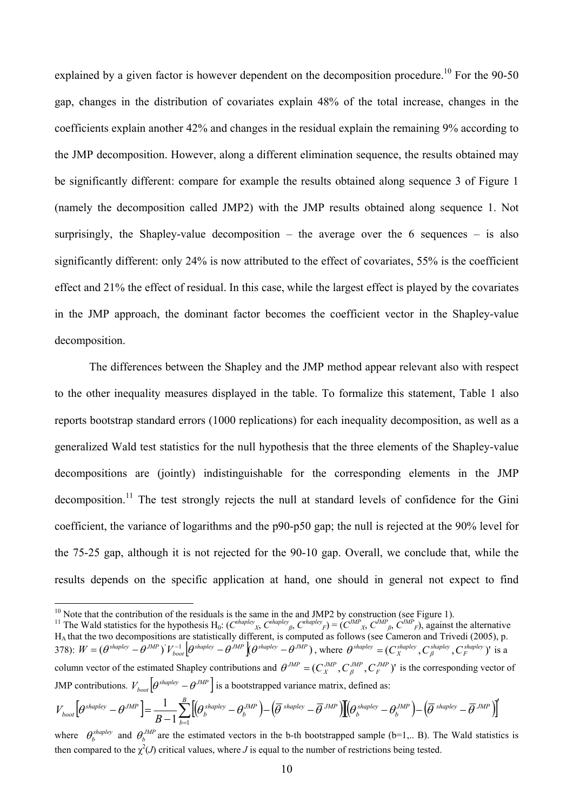explained by a given factor is however dependent on the decomposition procedure.<sup>10</sup> For the 90-50 gap, changes in the distribution of covariates explain 48% of the total increase, changes in the coefficients explain another 42% and changes in the residual explain the remaining 9% according to the JMP decomposition. However, along a different elimination sequence, the results obtained may be significantly different: compare for example the results obtained along sequence 3 of Figure 1 (namely the decomposition called JMP2) with the JMP results obtained along sequence 1. Not surprisingly, the Shapley-value decomposition – the average over the 6 sequences – is also significantly different: only 24% is now attributed to the effect of covariates, 55% is the coefficient effect and 21% the effect of residual. In this case, while the largest effect is played by the covariates in the JMP approach, the dominant factor becomes the coefficient vector in the Shapley-value decomposition.

The differences between the Shapley and the JMP method appear relevant also with respect to the other inequality measures displayed in the table. To formalize this statement, Table 1 also reports bootstrap standard errors (1000 replications) for each inequality decomposition, as well as a generalized Wald test statistics for the null hypothesis that the three elements of the Shapley-value decompositions are (jointly) indistinguishable for the corresponding elements in the JMP decomposition.<sup>11</sup> The test strongly rejects the null at standard levels of confidence for the Gini coefficient, the variance of logarithms and the p90-p50 gap; the null is rejected at the 90% level for the 75-25 gap, although it is not rejected for the 90-10 gap. Overall, we conclude that, while the results depends on the specific application at hand, one should in general not expect to find

 $\overline{a}$ 

$$
V_{boot}\left[\theta^{shape} - \theta^{JMP}\right] = \frac{1}{B-1} \sum_{b=1}^{B} \left[\left(\theta_b^{shape} - \theta_b^{JMP}\right) - \left(\overline{\theta}^{shape} - \overline{\theta}^{JMP}\right)\right] \left(\theta_b^{shape} - \theta_b^{JMP}\right) - \left(\overline{\theta}^{shape} - \overline{\theta}^{JMP}\right)\right]
$$

<sup>&</sup>lt;sup>10</sup> Note that the contribution of the residuals is the same in the and JMP2 by construction (see Figure 1).<br><sup>11</sup> The Wald statistics for the hypothesis H<sub>0</sub>:  $(C^{hapley}x, C^{hapley}y, C^{hapley}y) = (C^{MP}x, C^{MP}y, C^{MP}y)$ , against the al  $H_A$  that the two decompositions are statistically different, is computed as follows (see Cameron and Trivedi (2005), p. 378):  $W = (\theta^{shapley} - \theta^{JMP})^{\dagger} V_{bool}^{-1} [\theta^{shapley} - \theta^{JMP}](\theta^{shapley} - \theta^{JMP})$ , where  $\theta^{shapley} = (C_X^{shapley}, C_\beta^{shapley}, C_F^{shapley})^{\dagger}$  is a column vector of the estimated Shapley contributions and  $\theta^{JMP} = (C_{X}^{JMP}, C_{\beta}^{JMP}, C_{F}^{JMP})'$  is the corresponding vector of JMP contributions.  $V_{\text{host}} [\theta^{\text{shape}} - \theta^{\text{JMP}}]$  is a bootstrapped variance matrix, defined as:

where  $\theta_b^{shapley}$  and  $\theta_b^{JMP}$  are the estimated vectors in the b-th bootstrapped sample (b=1,.. B). The Wald statistics is then compared to the  $\chi^2(J)$  critical values, where *J* is equal to the number of restrictions being tested.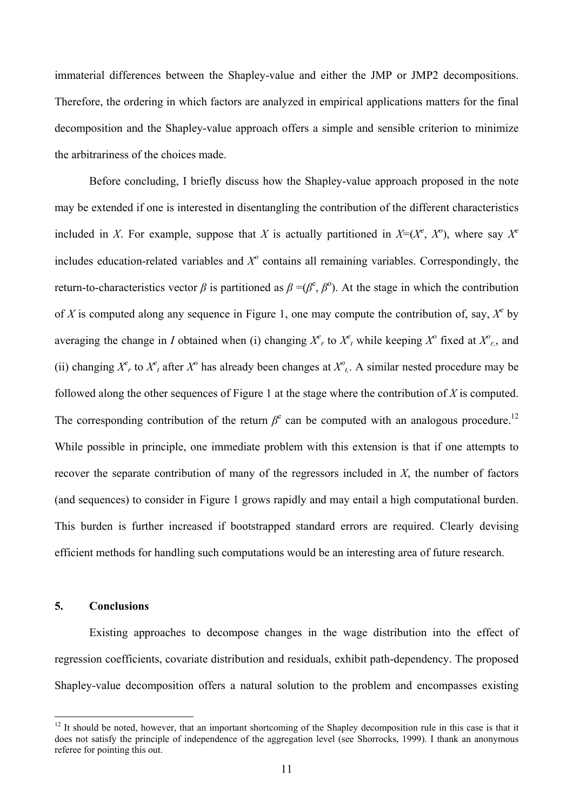immaterial differences between the Shapley-value and either the JMP or JMP2 decompositions. Therefore, the ordering in which factors are analyzed in empirical applications matters for the final decomposition and the Shapley-value approach offers a simple and sensible criterion to minimize the arbitrariness of the choices made.

Before concluding, I briefly discuss how the Shapley-value approach proposed in the note may be extended if one is interested in disentangling the contribution of the different characteristics included in *X*. For example, suppose that *X* is actually partitioned in  $X=(X^e, X^o)$ , where say  $X^e$ includes education-related variables and  $X^{\circ}$  contains all remaining variables. Correspondingly, the return-to-characteristics vector *β* is partitioned as  $β = (β<sup>e</sup>, β<sup>o</sup>)$ . At the stage in which the contribution of *X* is computed along any sequence in Figure 1, one may compute the contribution of, say,  $X^e$  by averaging the change in *I* obtained when (i) changing  $X^e$ , to  $X^e$ , while keeping  $X^o$  fixed at  $X^o$ , and (ii) changing  $X^e$ , to  $X^e$ , after  $X^o$  has already been changes at  $X^o$ <sub>t</sub>. A similar nested procedure may be followed along the other sequences of Figure 1 at the stage where the contribution of *X* is computed. The corresponding contribution of the return  $\beta^e$  can be computed with an analogous procedure.<sup>12</sup> While possible in principle, one immediate problem with this extension is that if one attempts to recover the separate contribution of many of the regressors included in *X*, the number of factors (and sequences) to consider in Figure 1 grows rapidly and may entail a high computational burden. This burden is further increased if bootstrapped standard errors are required. Clearly devising efficient methods for handling such computations would be an interesting area of future research.

# **5. Conclusions**

 $\overline{a}$ 

Existing approaches to decompose changes in the wage distribution into the effect of regression coefficients, covariate distribution and residuals, exhibit path-dependency. The proposed Shapley-value decomposition offers a natural solution to the problem and encompasses existing

 $12$  It should be noted, however, that an important shortcoming of the Shapley decomposition rule in this case is that it does not satisfy the principle of independence of the aggregation level (see Shorrocks, 1999). I thank an anonymous referee for pointing this out.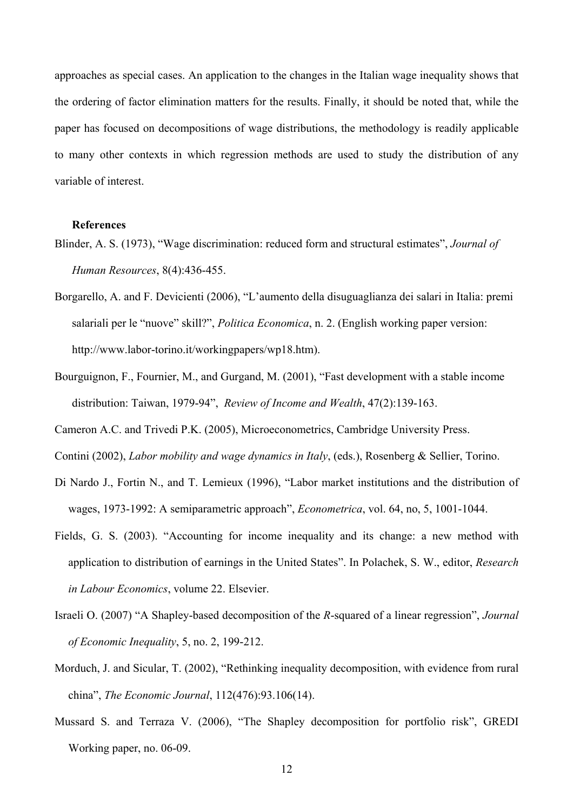approaches as special cases. An application to the changes in the Italian wage inequality shows that the ordering of factor elimination matters for the results. Finally, it should be noted that, while the paper has focused on decompositions of wage distributions, the methodology is readily applicable to many other contexts in which regression methods are used to study the distribution of any variable of interest.

#### **References**

- Blinder, A. S. (1973), "Wage discrimination: reduced form and structural estimates", *Journal of Human Resources*, 8(4):436-455.
- Borgarello, A. and F. Devicienti (2006), "L'aumento della disuguaglianza dei salari in Italia: premi salariali per le "nuove" skill?", *Politica Economica*, n. 2. (English working paper version: http://www.labor-torino.it/workingpapers/wp18.htm).
- Bourguignon, F., Fournier, M., and Gurgand, M. (2001), "Fast development with a stable income distribution: Taiwan, 1979-94", *Review of Income and Wealth*, 47(2):139-163.

Cameron A.C. and Trivedi P.K. (2005), Microeconometrics, Cambridge University Press.

Contini (2002), *Labor mobility and wage dynamics in Italy*, (eds.), Rosenberg & Sellier, Torino.

- Di Nardo J., Fortin N., and T. Lemieux (1996), "Labor market institutions and the distribution of wages, 1973-1992: A semiparametric approach", *Econometrica*, vol. 64, no, 5, 1001-1044.
- Fields, G. S. (2003). "Accounting for income inequality and its change: a new method with application to distribution of earnings in the United States". In Polachek, S. W., editor, *Research in Labour Economics*, volume 22. Elsevier.
- Israeli O. (2007) "A Shapley-based decomposition of the *R*-squared of a linear regression", *Journal of Economic Inequality*, 5, no. 2, 199-212.
- Morduch, J. and Sicular, T. (2002), "Rethinking inequality decomposition, with evidence from rural china", *The Economic Journal*, 112(476):93.106(14).
- Mussard S. and Terraza V. (2006), "The Shapley decomposition for portfolio risk", GREDI Working paper, no. 06-09.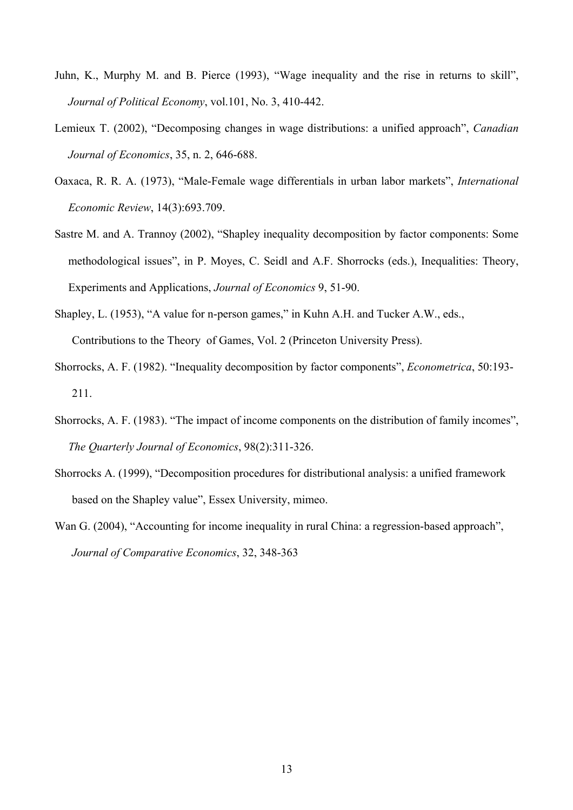- Juhn, K., Murphy M. and B. Pierce (1993), "Wage inequality and the rise in returns to skill", *Journal of Political Economy*, vol.101, No. 3, 410-442.
- Lemieux T. (2002), "Decomposing changes in wage distributions: a unified approach", *Canadian Journal of Economics*, 35, n. 2, 646-688.
- Oaxaca, R. R. A. (1973), "Male-Female wage differentials in urban labor markets", *International Economic Review*, 14(3):693.709.
- Sastre M. and A. Trannoy (2002), "Shapley inequality decomposition by factor components: Some methodological issues", in P. Moyes, C. Seidl and A.F. Shorrocks (eds.), Inequalities: Theory, Experiments and Applications, *Journal of Economics* 9, 51-90.
- Shapley, L. (1953), "A value for n-person games," in Kuhn A.H. and Tucker A.W., eds., Contributions to the Theory of Games, Vol. 2 (Princeton University Press).
- Shorrocks, A. F. (1982). "Inequality decomposition by factor components", *Econometrica*, 50:193- 211.
- Shorrocks, A. F. (1983). "The impact of income components on the distribution of family incomes", *The Quarterly Journal of Economics*, 98(2):311-326.
- Shorrocks A. (1999), "Decomposition procedures for distributional analysis: a unified framework based on the Shapley value", Essex University, mimeo.
- Wan G. (2004), "Accounting for income inequality in rural China: a regression-based approach", *Journal of Comparative Economics*, 32, 348-363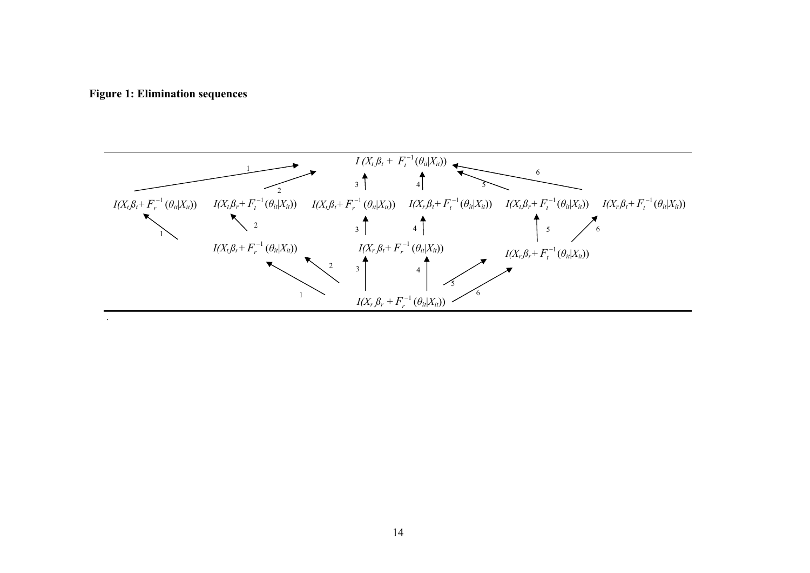